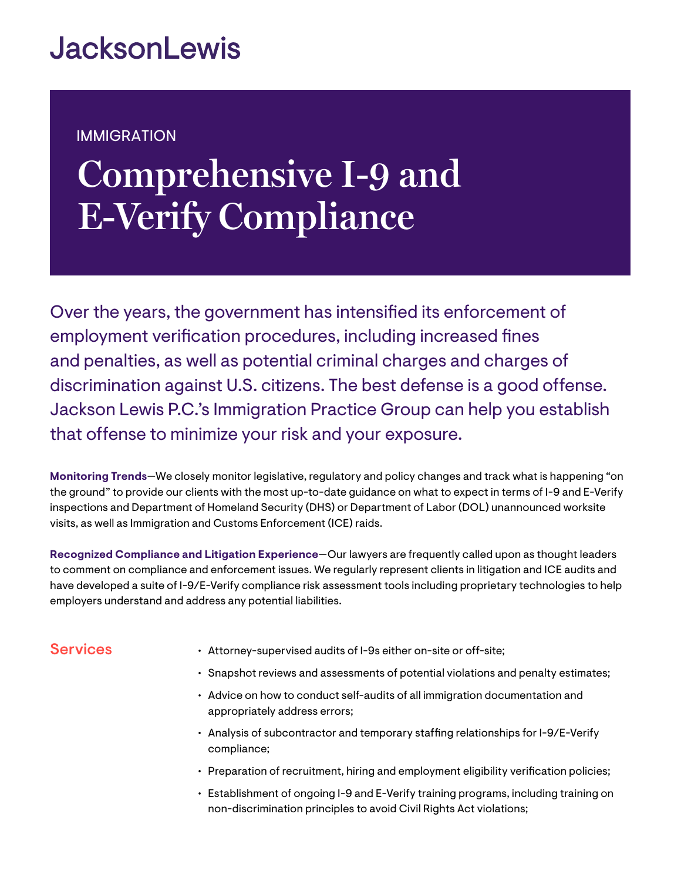## **JacksonLewis**

### IMMIGRATION

# **Comprehensive I-9 and E-Verify Compliance**

Over the years, the government has intensified its enforcement of employment verification procedures, including increased fines and penalties, as well as potential criminal charges and charges of discrimination against U.S. citizens. The best defense is a good offense. Jackson Lewis P.C.'s Immigration Practice Group can help you establish that offense to minimize your risk and your exposure.

**Monitoring Trends**—We closely monitor legislative, regulatory and policy changes and track what is happening "on the ground" to provide our clients with the most up-to-date guidance on what to expect in terms of I-9 and E-Verify inspections and Department of Homeland Security (DHS) or Department of Labor (DOL) unannounced worksite visits, as well as Immigration and Customs Enforcement (ICE) raids.

**Recognized Compliance and Litigation Experience**—Our lawyers are frequently called upon as thought leaders to comment on compliance and enforcement issues. We regularly represent clients in litigation and ICE audits and have developed a suite of I-9/E-Verify compliance risk assessment tools including proprietary technologies to help employers understand and address any potential liabilities.

#### **Services**

- Attorney-supervised audits of I-9s either on-site or off-site;
- Snapshot reviews and assessments of potential violations and penalty estimates;
- Advice on how to conduct self-audits of all immigration documentation and appropriately address errors;
- Analysis of subcontractor and temporary staffing relationships for I-9/E-Verify compliance;
- Preparation of recruitment, hiring and employment eligibility verification policies;
- Establishment of ongoing I-9 and E-Verify training programs, including training on non-discrimination principles to avoid Civil Rights Act violations;